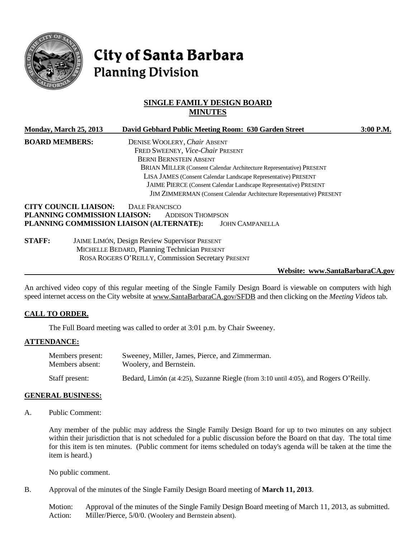

# **City of Santa Barbara Planning Division**

# **SINGLE FAMILY DESIGN BOARD MINUTES**

|                       | Monday, March 25, 2013                   |                                                                             |                                                      | David Gebhard Public Meeting Room: 630 Garden Street                | 3:00 P.M. |  |  |
|-----------------------|------------------------------------------|-----------------------------------------------------------------------------|------------------------------------------------------|---------------------------------------------------------------------|-----------|--|--|
| <b>BOARD MEMBERS:</b> |                                          |                                                                             | DENISE WOOLERY, Chair ABSENT                         |                                                                     |           |  |  |
|                       |                                          |                                                                             | FRED SWEENEY, Vice-Chair PRESENT                     |                                                                     |           |  |  |
|                       |                                          |                                                                             | <b>BERNI BERNSTEIN ABSENT</b>                        |                                                                     |           |  |  |
|                       |                                          |                                                                             |                                                      | BRIAN MILLER (Consent Calendar Architecture Representative) PRESENT |           |  |  |
|                       |                                          | LISA JAMES (Consent Calendar Landscape Representative) PRESENT              |                                                      |                                                                     |           |  |  |
|                       |                                          |                                                                             |                                                      | JAIME PIERCE (Consent Calendar Landscape Representative) PRESENT    |           |  |  |
|                       |                                          | <b>JIM ZIMMERMAN</b> (Consent Calendar Architecture Representative) PRESENT |                                                      |                                                                     |           |  |  |
|                       | <b>CITY COUNCIL LIAISON:</b>             | DALE FRANCISCO                                                              |                                                      |                                                                     |           |  |  |
|                       | PLANNING COMMISSION LIAISON:             |                                                                             | <b>ADDISON THOMPSON</b>                              |                                                                     |           |  |  |
|                       | PLANNING COMMISSION LIAISON (ALTERNATE): |                                                                             |                                                      | <b>JOHN CAMPANELLA</b>                                              |           |  |  |
| <b>STAFF:</b>         |                                          |                                                                             | <b>JAIME LIMÓN, Design Review Supervisor PRESENT</b> |                                                                     |           |  |  |
|                       |                                          |                                                                             | MICHELLE BEDARD, Planning Technician PRESENT         |                                                                     |           |  |  |

## **Website: www.SantaBarbaraCA.gov**

An archived video copy of this regular meeting of the Single Family Design Board is viewable on computers with high speed internet access on the City website at [www.SantaBarbaraCA.gov/SFDB](http://www.santabarbaraca.gov/SFDB) and then clicking on the *Meeting Videos* tab.

#### **CALL TO ORDER.**

The Full Board meeting was called to order at 3:01 p.m. by Chair Sweeney.

ROSA ROGERS O'REILLY, Commission Secretary PRESENT

#### **ATTENDANCE:**

| Members present: | Sweeney, Miller, James, Pierce, and Zimmerman.                                       |
|------------------|--------------------------------------------------------------------------------------|
| Members absent:  | Woolery, and Bernstein.                                                              |
| Staff present:   | Bedard, Limón (at 4:25), Suzanne Riegle (from 3:10 until 4:05), and Rogers O'Reilly. |

#### **GENERAL BUSINESS:**

A. Public Comment:

Any member of the public may address the Single Family Design Board for up to two minutes on any subject within their jurisdiction that is not scheduled for a public discussion before the Board on that day. The total time for this item is ten minutes. (Public comment for items scheduled on today's agenda will be taken at the time the item is heard.)

No public comment.

B. Approval of the minutes of the Single Family Design Board meeting of **March 11, 2013**.

Motion: Approval of the minutes of the Single Family Design Board meeting of March 11, 2013, as submitted. Action: Miller/Pierce, 5/0/0. (Woolery and Bernstein absent).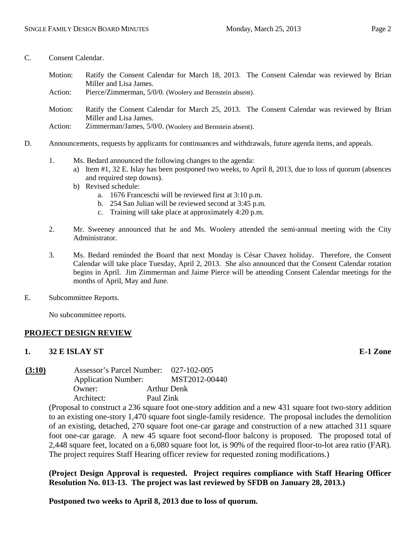- C. Consent Calendar.
	- Motion: Ratify the Consent Calendar for March 18, 2013. The Consent Calendar was reviewed by Brian Miller and Lisa James.
	- Action: Pierce/Zimmerman, 5/0/0. (Woolery and Bernstein absent).
	- Motion: Ratify the Consent Calendar for March 25, 2013. The Consent Calendar was reviewed by Brian Miller and Lisa James.
	- Action: Zimmerman/James, 5/0/0. (Woolery and Bernstein absent).
- D. Announcements, requests by applicants for continuances and withdrawals, future agenda items, and appeals.
	- 1. Ms. Bedard announced the following changes to the agenda:
		- a) Item #1, 32 E. Islay has been postponed two weeks, to April 8, 2013, due to loss of quorum (absences and required step downs).
		- b) Revised schedule:
			- a. 1676 Franceschi will be reviewed first at 3:10 p.m.
			- b. 254 San Julian will be reviewed second at 3:45 p.m.
			- c. Training will take place at approximately 4:20 p.m.
	- 2. Mr. Sweeney announced that he and Ms. Woolery attended the semi-annual meeting with the City Administrator.
	- 3. Ms. Bedard reminded the Board that next Monday is César Chavez holiday. Therefore, the Consent Calendar will take place Tuesday, April 2, 2013. She also announced that the Consent Calendar rotation begins in April. Jim Zimmerman and Jaime Pierce will be attending Consent Calendar meetings for the months of April, May and June.
- E. Subcommittee Reports.

No subcommittee reports.

## **PROJECT DESIGN REVIEW**

## **1. 32 E ISLAY ST E-1 Zone**

**(3:10)** Assessor's Parcel Number: 027-102-005 Application Number: MST2012-00440 Owner: Arthur Denk Architect: Paul Zink

(Proposal to construct a 236 square foot one-story addition and a new 431 square foot two-story addition to an existing one-story 1,470 square foot single-family residence. The proposal includes the demolition of an existing, detached, 270 square foot one-car garage and construction of a new attached 311 square foot one-car garage. A new 45 square foot second-floor balcony is proposed. The proposed total of 2,448 square feet, located on a 6,080 square foot lot, is 90% of the required floor-to-lot area ratio (FAR). The project requires Staff Hearing officer review for requested zoning modifications.)

**(Project Design Approval is requested. Project requires compliance with Staff Hearing Officer Resolution No. 013-13. The project was last reviewed by SFDB on January 28, 2013.)**

**Postponed two weeks to April 8, 2013 due to loss of quorum.**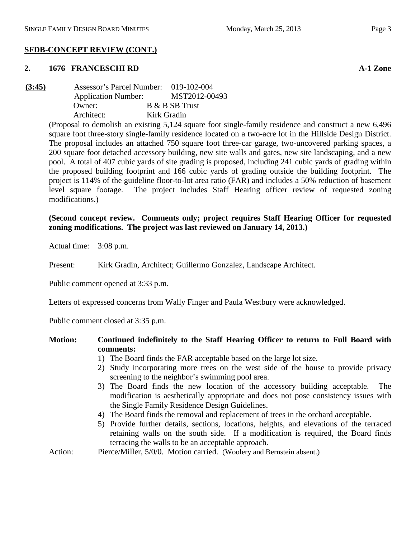## **SFDB-CONCEPT REVIEW (CONT.)**

#### **2. 1676 FRANCESCHI RD A-1 Zone**

| (3:45) | Assessor's Parcel Number: 019-102-004 |             |                |
|--------|---------------------------------------|-------------|----------------|
|        | <b>Application Number:</b>            |             | MST2012-00493  |
|        | Owner:                                |             | B & B SB Trust |
|        | Architect:                            | Kirk Gradin |                |

(Proposal to demolish an existing 5,124 square foot single-family residence and construct a new 6,496 square foot three-story single-family residence located on a two-acre lot in the Hillside Design District. The proposal includes an attached 750 square foot three-car garage, two-uncovered parking spaces, a 200 square foot detached accessory building, new site walls and gates, new site landscaping, and a new pool. A total of 407 cubic yards of site grading is proposed, including 241 cubic yards of grading within the proposed building footprint and 166 cubic yards of grading outside the building footprint. The project is 114% of the guideline floor-to-lot area ratio (FAR) and includes a 50% reduction of basement level square footage. The project includes Staff Hearing officer review of requested zoning modifications.)

## **(Second concept review. Comments only; project requires Staff Hearing Officer for requested zoning modifications. The project was last reviewed on January 14, 2013.)**

Actual time: 3:08 p.m.

Present: Kirk Gradin, Architect; Guillermo Gonzalez, Landscape Architect.

Public comment opened at 3:33 p.m.

Letters of expressed concerns from Wally Finger and Paula Westbury were acknowledged.

Public comment closed at 3:35 p.m.

## **Motion: Continued indefinitely to the Staff Hearing Officer to return to Full Board with comments:**

- 1) The Board finds the FAR acceptable based on the large lot size.
- 2) Study incorporating more trees on the west side of the house to provide privacy screening to the neighbor's swimming pool area.
- 3) The Board finds the new location of the accessory building acceptable. The modification is aesthetically appropriate and does not pose consistency issues with the Single Family Residence Design Guidelines.
- 4) The Board finds the removal and replacement of trees in the orchard acceptable.
- 5) Provide further details, sections, locations, heights, and elevations of the terraced retaining walls on the south side. If a modification is required, the Board finds terracing the walls to be an acceptable approach.
- Action: Pierce/Miller, 5/0/0. Motion carried. (Woolery and Bernstein absent.)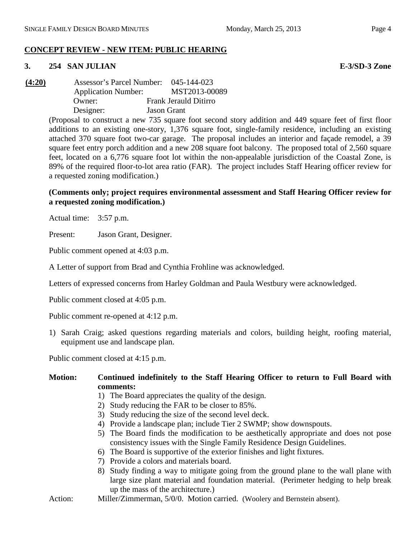# **CONCEPT REVIEW - NEW ITEM: PUBLIC HEARING**

## **3. 254 SAN JULIAN E-3/SD-3 Zone**

**(4:20)** Assessor's Parcel Number: 045-144-023 Application Number: MST2013-00089 Owner: Frank Jerauld Ditirro Designer: Jason Grant

> (Proposal to construct a new 735 square foot second story addition and 449 square feet of first floor additions to an existing one-story, 1,376 square foot, single-family residence, including an existing attached 370 square foot two-car garage. The proposal includes an interior and façade remodel, a 39 square feet entry porch addition and a new 208 square foot balcony. The proposed total of 2,560 square feet, located on a 6,776 square foot lot within the non-appealable jurisdiction of the Coastal Zone, is 89% of the required floor-to-lot area ratio (FAR). The project includes Staff Hearing officer review for a requested zoning modification.)

## **(Comments only; project requires environmental assessment and Staff Hearing Officer review for a requested zoning modification.)**

Actual time: 3:57 p.m.

Present: Jason Grant, Designer.

Public comment opened at 4:03 p.m.

A Letter of support from Brad and Cynthia Frohline was acknowledged.

Letters of expressed concerns from Harley Goldman and Paula Westbury were acknowledged.

Public comment closed at 4:05 p.m.

Public comment re-opened at 4:12 p.m.

1) Sarah Craig; asked questions regarding materials and colors, building height, roofing material, equipment use and landscape plan.

Public comment closed at 4:15 p.m.

## **Motion: Continued indefinitely to the Staff Hearing Officer to return to Full Board with comments:**

- 1) The Board appreciates the quality of the design.
- 2) Study reducing the FAR to be closer to 85%.
- 3) Study reducing the size of the second level deck.
- 4) Provide a landscape plan; include Tier 2 SWMP; show downspouts.
- 5) The Board finds the modification to be aesthetically appropriate and does not pose consistency issues with the Single Family Residence Design Guidelines.
- 6) The Board is supportive of the exterior finishes and light fixtures.
- 7) Provide a colors and materials board.
- 8) Study finding a way to mitigate going from the ground plane to the wall plane with large size plant material and foundation material. (Perimeter hedging to help break up the mass of the architecture.)
- Action: Miller/Zimmerman, 5/0/0. Motion carried. (Woolery and Bernstein absent).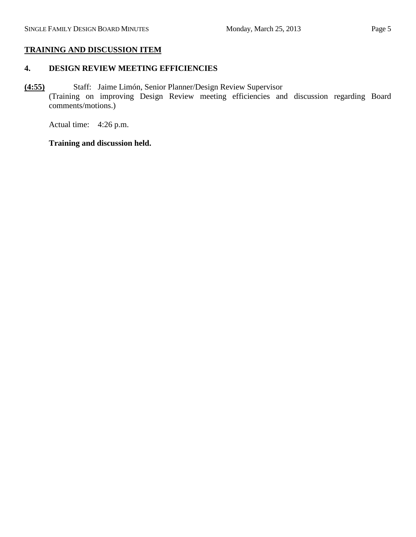## **TRAINING AND DISCUSSION ITEM**

# **4. DESIGN REVIEW MEETING EFFICIENCIES**

**(4:55)** Staff: Jaime Limón, Senior Planner/Design Review Supervisor (Training on improving Design Review meeting efficiencies and discussion regarding Board comments/motions.)

Actual time: 4:26 p.m.

# **Training and discussion held.**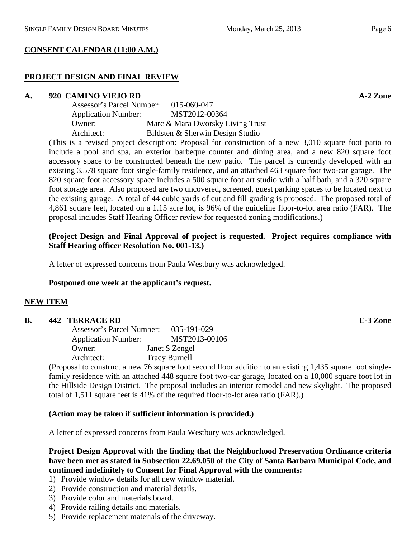## **CONSENT CALENDAR (11:00 A.M.)**

# **PROJECT DESIGN AND FINAL REVIEW**

## **A. 920 CAMINO VIEJO RD A-2 Zone**

| Assessor's Parcel Number:  | 015-060-047                      |
|----------------------------|----------------------------------|
| <b>Application Number:</b> | MST2012-00364                    |
| Owner:                     | Marc & Mara Dworsky Living Trust |
| Architect:                 | Bildsten & Sherwin Design Studio |

(This is a revised project description: Proposal for construction of a new 3,010 square foot patio to include a pool and spa, an exterior barbeque counter and dining area, and a new 820 square foot accessory space to be constructed beneath the new patio. The parcel is currently developed with an existing 3,578 square foot single-family residence, and an attached 463 square foot two-car garage. The 820 square foot accessory space includes a 500 square foot art studio with a half bath, and a 320 square foot storage area. Also proposed are two uncovered, screened, guest parking spaces to be located next to the existing garage. A total of 44 cubic yards of cut and fill grading is proposed. The proposed total of 4,861 square feet, located on a 1.15 acre lot, is 96% of the guideline floor-to-lot area ratio (FAR). The proposal includes Staff Hearing Officer review for requested zoning modifications.)

## **(Project Design and Final Approval of project is requested. Project requires compliance with Staff Hearing officer Resolution No. 001-13.)**

A letter of expressed concerns from Paula Westbury was acknowledged.

## **Postponed one week at the applicant's request.**

## **NEW ITEM**

## **B. 442 TERRACE RD E-3 Zone**

| Assessor's Parcel Number:  | 035-191-029          |
|----------------------------|----------------------|
| <b>Application Number:</b> | MST2013-00106        |
| Owner:                     | Janet S Zengel       |
| Architect:                 | <b>Tracy Burnell</b> |

(Proposal to construct a new 76 square foot second floor addition to an existing 1,435 square foot singlefamily residence with an attached 448 square foot two-car garage, located on a 10,000 square foot lot in the Hillside Design District. The proposal includes an interior remodel and new skylight. The proposed total of 1,511 square feet is 41% of the required floor-to-lot area ratio (FAR).)

## **(Action may be taken if sufficient information is provided.)**

A letter of expressed concerns from Paula Westbury was acknowledged.

## **Project Design Approval with the finding that the Neighborhood Preservation Ordinance criteria have been met as stated in Subsection 22.69.050 of the City of Santa Barbara Municipal Code, and continued indefinitely to Consent for Final Approval with the comments:**

- 1) Provide window details for all new window material.
- 2) Provide construction and material details.
- 3) Provide color and materials board.
- 4) Provide railing details and materials.
- 5) Provide replacement materials of the driveway.